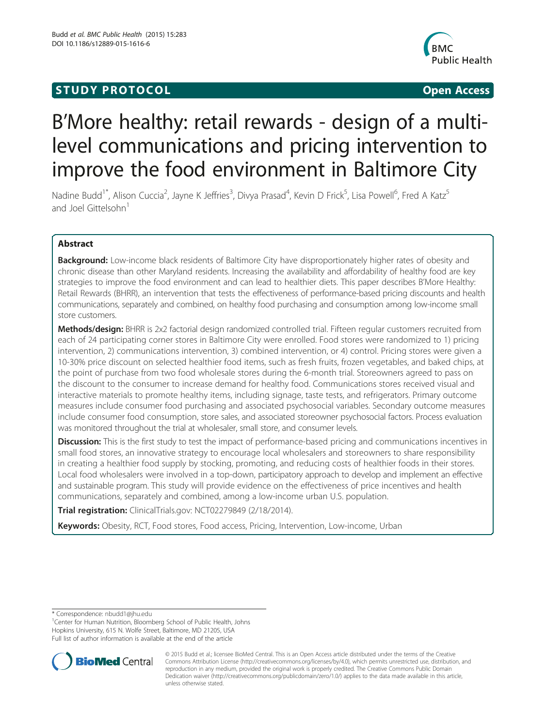# **STUDY PROTOCOL CONSUMING THE RESERVE ACCESS**



# B'More healthy: retail rewards - design of a multilevel communications and pricing intervention to improve the food environment in Baltimore City

Nadine Budd<sup>1\*</sup>, Alison Cuccia<sup>2</sup>, Jayne K Jeffries<sup>3</sup>, Divya Prasad<sup>4</sup>, Kevin D Frick<sup>5</sup>, Lisa Powell<sup>6</sup>, Fred A Katz<sup>5</sup> and Joel Gittelsohn $<sup>1</sup>$ </sup>

# Abstract

Background: Low-income black residents of Baltimore City have disproportionately higher rates of obesity and chronic disease than other Maryland residents. Increasing the availability and affordability of healthy food are key strategies to improve the food environment and can lead to healthier diets. This paper describes B'More Healthy: Retail Rewards (BHRR), an intervention that tests the effectiveness of performance-based pricing discounts and health communications, separately and combined, on healthy food purchasing and consumption among low-income small store customers.

Methods/design: BHRR is 2x2 factorial design randomized controlled trial. Fifteen regular customers recruited from each of 24 participating corner stores in Baltimore City were enrolled. Food stores were randomized to 1) pricing intervention, 2) communications intervention, 3) combined intervention, or 4) control. Pricing stores were given a 10-30% price discount on selected healthier food items, such as fresh fruits, frozen vegetables, and baked chips, at the point of purchase from two food wholesale stores during the 6-month trial. Storeowners agreed to pass on the discount to the consumer to increase demand for healthy food. Communications stores received visual and interactive materials to promote healthy items, including signage, taste tests, and refrigerators. Primary outcome measures include consumer food purchasing and associated psychosocial variables. Secondary outcome measures include consumer food consumption, store sales, and associated storeowner psychosocial factors. Process evaluation was monitored throughout the trial at wholesaler, small store, and consumer levels.

Discussion: This is the first study to test the impact of performance-based pricing and communications incentives in small food stores, an innovative strategy to encourage local wholesalers and storeowners to share responsibility in creating a healthier food supply by stocking, promoting, and reducing costs of healthier foods in their stores. Local food wholesalers were involved in a top-down, participatory approach to develop and implement an effective and sustainable program. This study will provide evidence on the effectiveness of price incentives and health communications, separately and combined, among a low-income urban U.S. population.

Trial registration: ClinicalTrials.gov: [NCT02279849](https://clinicaltrials.gov/ct2/show/NCT02279849?term=NCT02279849&rank=1) (2/18/2014).

Keywords: Obesity, RCT, Food stores, Food access, Pricing, Intervention, Low-income, Urban

\* Correspondence: [nbudd1@jhu.edu](mailto:nbudd1@jhu.edu) <sup>1</sup>

<sup>1</sup> Center for Human Nutrition, Bloomberg School of Public Health, Johns Hopkins University, 615 N. Wolfe Street, Baltimore, MD 21205, USA Full list of author information is available at the end of the article



<sup>© 2015</sup> Budd et al.; licensee BioMed Central. This is an Open Access article distributed under the terms of the Creative Commons Attribution License [\(http://creativecommons.org/licenses/by/4.0\)](http://creativecommons.org/licenses/by/4.0), which permits unrestricted use, distribution, and reproduction in any medium, provided the original work is properly credited. The Creative Commons Public Domain Dedication waiver [\(http://creativecommons.org/publicdomain/zero/1.0/](http://creativecommons.org/publicdomain/zero/1.0/)) applies to the data made available in this article, unless otherwise stated.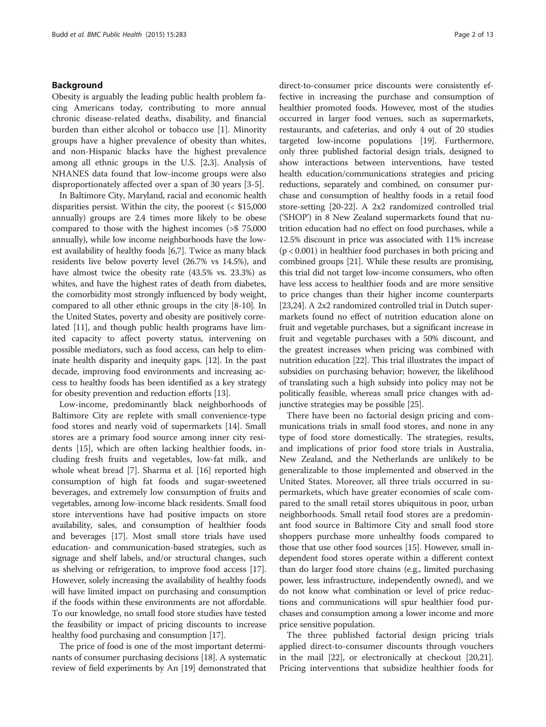#### Background

Obesity is arguably the leading public health problem facing Americans today, contributing to more annual chronic disease-related deaths, disability, and financial burden than either alcohol or tobacco use [[1](#page-11-0)]. Minority groups have a higher prevalence of obesity than whites, and non-Hispanic blacks have the highest prevalence among all ethnic groups in the U.S. [[2,3\]](#page-11-0). Analysis of NHANES data found that low-income groups were also disproportionately affected over a span of 30 years [\[3](#page-11-0)-[5\]](#page-11-0).

In Baltimore City, Maryland, racial and economic health disparities persist. Within the city, the poorest (< \$15,000 annually) groups are 2.4 times more likely to be obese compared to those with the highest incomes (>\$ 75,000 annually), while low income neighborhoods have the lowest availability of healthy foods [\[6,7](#page-11-0)]. Twice as many black residents live below poverty level (26.7% vs 14.5%), and have almost twice the obesity rate (43.5% vs. 23.3%) as whites, and have the highest rates of death from diabetes, the comorbidity most strongly influenced by body weight, compared to all other ethnic groups in the city [\[8](#page-11-0)-[10](#page-11-0)]. In the United States, poverty and obesity are positively correlated [\[11\]](#page-11-0), and though public health programs have limited capacity to affect poverty status, intervening on possible mediators, such as food access, can help to eliminate health disparity and inequity gaps. [\[12\]](#page-11-0). In the past decade, improving food environments and increasing access to healthy foods has been identified as a key strategy for obesity prevention and reduction efforts [[13](#page-11-0)].

Low-income, predominantly black neighborhoods of Baltimore City are replete with small convenience-type food stores and nearly void of supermarkets [[14\]](#page-12-0). Small stores are a primary food source among inner city residents [\[15](#page-12-0)], which are often lacking healthier foods, including fresh fruits and vegetables, low-fat milk, and whole wheat bread [[7\]](#page-11-0). Sharma et al. [\[16](#page-12-0)] reported high consumption of high fat foods and sugar-sweetened beverages, and extremely low consumption of fruits and vegetables, among low-income black residents. Small food store interventions have had positive impacts on store availability, sales, and consumption of healthier foods and beverages [\[17](#page-12-0)]. Most small store trials have used education- and communication-based strategies, such as signage and shelf labels, and/or structural changes, such as shelving or refrigeration, to improve food access [[17](#page-12-0)]. However, solely increasing the availability of healthy foods will have limited impact on purchasing and consumption if the foods within these environments are not affordable. To our knowledge, no small food store studies have tested the feasibility or impact of pricing discounts to increase healthy food purchasing and consumption [\[17\]](#page-12-0).

The price of food is one of the most important determinants of consumer purchasing decisions [\[18\]](#page-12-0). A systematic review of field experiments by An [[19](#page-12-0)] demonstrated that direct-to-consumer price discounts were consistently effective in increasing the purchase and consumption of healthier promoted foods. However, most of the studies occurred in larger food venues, such as supermarkets, restaurants, and cafeterias, and only 4 out of 20 studies targeted low-income populations [[19](#page-12-0)]. Furthermore, only three published factorial design trials, designed to show interactions between interventions, have tested health education/communications strategies and pricing reductions, separately and combined, on consumer purchase and consumption of healthy foods in a retail food store-setting [\[20-22\]](#page-12-0). A 2x2 randomized controlled trial ('SHOP') in 8 New Zealand supermarkets found that nutrition education had no effect on food purchases, while a 12.5% discount in price was associated with 11% increase (p < 0.001) in healthier food purchases in both pricing and combined groups [\[21\]](#page-12-0). While these results are promising, this trial did not target low-income consumers, who often have less access to healthier foods and are more sensitive to price changes than their higher income counterparts [[23](#page-12-0),[24](#page-12-0)]. A 2x2 randomized controlled trial in Dutch supermarkets found no effect of nutrition education alone on fruit and vegetable purchases, but a significant increase in fruit and vegetable purchases with a 50% discount, and the greatest increases when pricing was combined with nutrition education [[22\]](#page-12-0). This trial illustrates the impact of subsidies on purchasing behavior; however, the likelihood of translating such a high subsidy into policy may not be politically feasible, whereas small price changes with adjunctive strategies may be possible [\[25](#page-12-0)].

There have been no factorial design pricing and communications trials in small food stores, and none in any type of food store domestically. The strategies, results, and implications of prior food store trials in Australia, New Zealand, and the Netherlands are unlikely to be generalizable to those implemented and observed in the United States. Moreover, all three trials occurred in supermarkets, which have greater economies of scale compared to the small retail stores ubiquitous in poor, urban neighborhoods. Small retail food stores are a predominant food source in Baltimore City and small food store shoppers purchase more unhealthy foods compared to those that use other food sources [\[15\]](#page-12-0). However, small independent food stores operate within a different context than do larger food store chains (e.g., limited purchasing power, less infrastructure, independently owned), and we do not know what combination or level of price reductions and communications will spur healthier food purchases and consumption among a lower income and more price sensitive population.

The three published factorial design pricing trials applied direct-to-consumer discounts through vouchers in the mail [\[22\]](#page-12-0), or electronically at checkout [\[20,21](#page-12-0)]. Pricing interventions that subsidize healthier foods for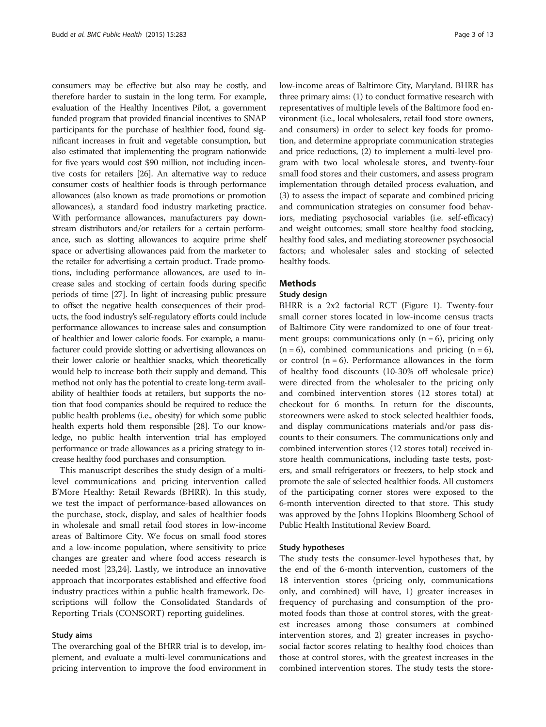consumers may be effective but also may be costly, and therefore harder to sustain in the long term. For example, evaluation of the Healthy Incentives Pilot, a government funded program that provided financial incentives to SNAP participants for the purchase of healthier food, found significant increases in fruit and vegetable consumption, but also estimated that implementing the program nationwide for five years would cost \$90 million, not including incentive costs for retailers [\[26\]](#page-12-0). An alternative way to reduce consumer costs of healthier foods is through performance allowances (also known as trade promotions or promotion allowances), a standard food industry marketing practice. With performance allowances, manufacturers pay downstream distributors and/or retailers for a certain performance, such as slotting allowances to acquire prime shelf space or advertising allowances paid from the marketer to the retailer for advertising a certain product. Trade promotions, including performance allowances, are used to increase sales and stocking of certain foods during specific periods of time [\[27\]](#page-12-0). In light of increasing public pressure to offset the negative health consequences of their products, the food industry's self-regulatory efforts could include performance allowances to increase sales and consumption of healthier and lower calorie foods. For example, a manufacturer could provide slotting or advertising allowances on their lower calorie or healthier snacks, which theoretically would help to increase both their supply and demand. This method not only has the potential to create long-term availability of healthier foods at retailers, but supports the notion that food companies should be required to reduce the public health problems (i.e., obesity) for which some public health experts hold them responsible [\[28](#page-12-0)]. To our knowledge, no public health intervention trial has employed performance or trade allowances as a pricing strategy to increase healthy food purchases and consumption.

This manuscript describes the study design of a multilevel communications and pricing intervention called B'More Healthy: Retail Rewards (BHRR). In this study, we test the impact of performance-based allowances on the purchase, stock, display, and sales of healthier foods in wholesale and small retail food stores in low-income areas of Baltimore City. We focus on small food stores and a low-income population, where sensitivity to price changes are greater and where food access research is needed most [[23,24](#page-12-0)]. Lastly, we introduce an innovative approach that incorporates established and effective food industry practices within a public health framework. Descriptions will follow the Consolidated Standards of Reporting Trials (CONSORT) reporting guidelines.

#### Study aims

The overarching goal of the BHRR trial is to develop, implement, and evaluate a multi-level communications and pricing intervention to improve the food environment in low-income areas of Baltimore City, Maryland. BHRR has three primary aims: (1) to conduct formative research with representatives of multiple levels of the Baltimore food environment (i.e., local wholesalers, retail food store owners, and consumers) in order to select key foods for promotion, and determine appropriate communication strategies and price reductions, (2) to implement a multi-level program with two local wholesale stores, and twenty-four small food stores and their customers, and assess program implementation through detailed process evaluation, and (3) to assess the impact of separate and combined pricing and communication strategies on consumer food behaviors, mediating psychosocial variables (i.e. self-efficacy) and weight outcomes; small store healthy food stocking, healthy food sales, and mediating storeowner psychosocial factors; and wholesaler sales and stocking of selected healthy foods.

# Methods

#### Study design

BHRR is a 2x2 factorial RCT (Figure [1\)](#page-3-0). Twenty-four small corner stores located in low-income census tracts of Baltimore City were randomized to one of four treatment groups: communications only  $(n = 6)$ , pricing only  $(n = 6)$ , combined communications and pricing  $(n = 6)$ , or control  $(n = 6)$ . Performance allowances in the form of healthy food discounts (10-30% off wholesale price) were directed from the wholesaler to the pricing only and combined intervention stores (12 stores total) at checkout for 6 months. In return for the discounts, storeowners were asked to stock selected healthier foods, and display communications materials and/or pass discounts to their consumers. The communications only and combined intervention stores (12 stores total) received instore health communications, including taste tests, posters, and small refrigerators or freezers, to help stock and promote the sale of selected healthier foods. All customers of the participating corner stores were exposed to the 6-month intervention directed to that store. This study was approved by the Johns Hopkins Bloomberg School of Public Health Institutional Review Board.

#### Study hypotheses

The study tests the consumer-level hypotheses that, by the end of the 6-month intervention, customers of the 18 intervention stores (pricing only, communications only, and combined) will have, 1) greater increases in frequency of purchasing and consumption of the promoted foods than those at control stores, with the greatest increases among those consumers at combined intervention stores, and 2) greater increases in psychosocial factor scores relating to healthy food choices than those at control stores, with the greatest increases in the combined intervention stores. The study tests the store-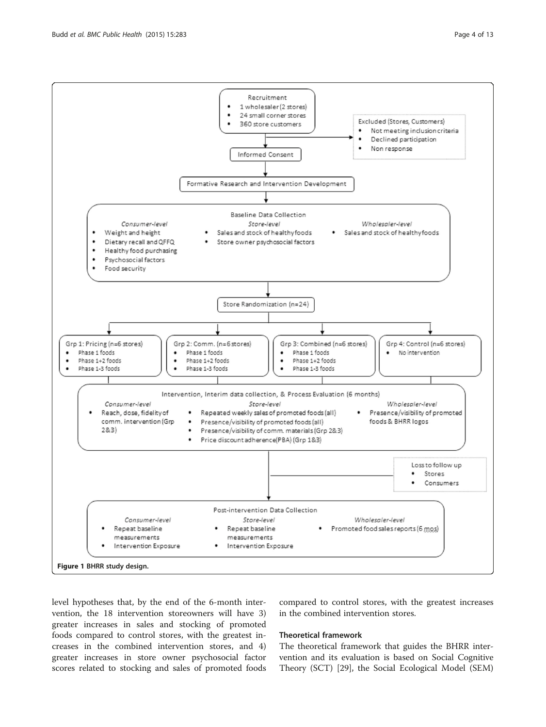<span id="page-3-0"></span>

level hypotheses that, by the end of the 6-month intervention, the 18 intervention storeowners will have 3) greater increases in sales and stocking of promoted foods compared to control stores, with the greatest increases in the combined intervention stores, and 4) greater increases in store owner psychosocial factor scores related to stocking and sales of promoted foods

# compared to control stores, with the greatest increases in the combined intervention stores.

# Theoretical framework

The theoretical framework that guides the BHRR intervention and its evaluation is based on Social Cognitive Theory (SCT) [[29\]](#page-12-0), the Social Ecological Model (SEM)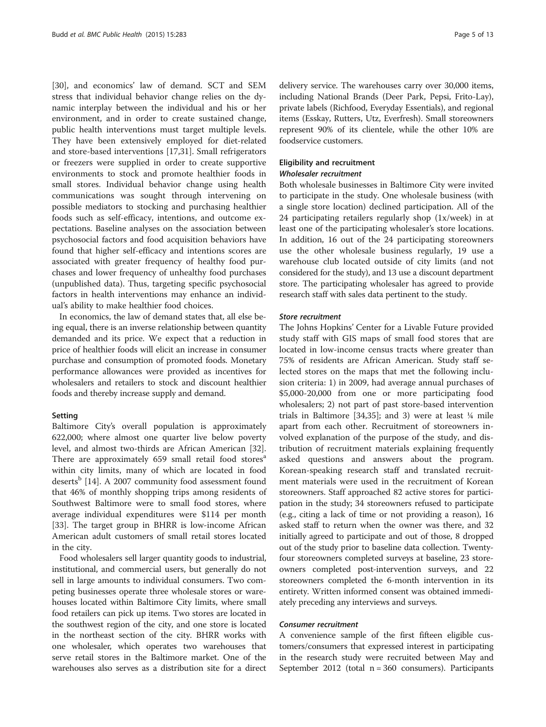[[30\]](#page-12-0), and economics' law of demand. SCT and SEM stress that individual behavior change relies on the dynamic interplay between the individual and his or her environment, and in order to create sustained change, public health interventions must target multiple levels. They have been extensively employed for diet-related and store-based interventions [[17](#page-12-0),[31](#page-12-0)]. Small refrigerators or freezers were supplied in order to create supportive environments to stock and promote healthier foods in small stores. Individual behavior change using health communications was sought through intervening on possible mediators to stocking and purchasing healthier foods such as self-efficacy, intentions, and outcome expectations. Baseline analyses on the association between psychosocial factors and food acquisition behaviors have found that higher self-efficacy and intentions scores are associated with greater frequency of healthy food purchases and lower frequency of unhealthy food purchases (unpublished data). Thus, targeting specific psychosocial factors in health interventions may enhance an individual's ability to make healthier food choices.

In economics, the law of demand states that, all else being equal, there is an inverse relationship between quantity demanded and its price. We expect that a reduction in price of healthier foods will elicit an increase in consumer purchase and consumption of promoted foods. Monetary performance allowances were provided as incentives for wholesalers and retailers to stock and discount healthier foods and thereby increase supply and demand.

#### Setting

Baltimore City's overall population is approximately 622,000; where almost one quarter live below poverty level, and almost two-thirds are African American [\[32](#page-12-0)]. There are approximately  $659$  small retail food stores<sup>a</sup> within city limits, many of which are located in food deserts<sup>b</sup> [\[14](#page-12-0)]. A 2007 community food assessment found that 46% of monthly shopping trips among residents of Southwest Baltimore were to small food stores, where average individual expenditures were \$114 per month [[33\]](#page-12-0). The target group in BHRR is low-income African American adult customers of small retail stores located in the city.

Food wholesalers sell larger quantity goods to industrial, institutional, and commercial users, but generally do not sell in large amounts to individual consumers. Two competing businesses operate three wholesale stores or warehouses located within Baltimore City limits, where small food retailers can pick up items. Two stores are located in the southwest region of the city, and one store is located in the northeast section of the city. BHRR works with one wholesaler, which operates two warehouses that serve retail stores in the Baltimore market. One of the warehouses also serves as a distribution site for a direct delivery service. The warehouses carry over 30,000 items, including National Brands (Deer Park, Pepsi, Frito-Lay), private labels (Richfood, Everyday Essentials), and regional items (Esskay, Rutters, Utz, Everfresh). Small storeowners represent 90% of its clientele, while the other 10% are foodservice customers.

# Eligibility and recruitment

# Wholesaler recruitment

Both wholesale businesses in Baltimore City were invited to participate in the study. One wholesale business (with a single store location) declined participation. All of the 24 participating retailers regularly shop  $(1x/week)$  in at least one of the participating wholesaler's store locations. In addition, 16 out of the 24 participating storeowners use the other wholesale business regularly, 19 use a warehouse club located outside of city limits (and not considered for the study), and 13 use a discount department store. The participating wholesaler has agreed to provide research staff with sales data pertinent to the study.

#### Store recruitment

The Johns Hopkins' Center for a Livable Future provided study staff with GIS maps of small food stores that are located in low-income census tracts where greater than 75% of residents are African American. Study staff selected stores on the maps that met the following inclusion criteria: 1) in 2009, had average annual purchases of \$5,000-20,000 from one or more participating food wholesalers; 2) not part of past store-based intervention trials in Baltimore [[34,35\]](#page-12-0); and 3) were at least  $\frac{1}{4}$  mile apart from each other. Recruitment of storeowners involved explanation of the purpose of the study, and distribution of recruitment materials explaining frequently asked questions and answers about the program. Korean-speaking research staff and translated recruitment materials were used in the recruitment of Korean storeowners. Staff approached 82 active stores for participation in the study; 34 storeowners refused to participate (e.g., citing a lack of time or not providing a reason), 16 asked staff to return when the owner was there, and 32 initially agreed to participate and out of those, 8 dropped out of the study prior to baseline data collection. Twentyfour storeowners completed surveys at baseline, 23 storeowners completed post-intervention surveys, and 22 storeowners completed the 6-month intervention in its entirety. Written informed consent was obtained immediately preceding any interviews and surveys.

#### Consumer recruitment

A convenience sample of the first fifteen eligible customers/consumers that expressed interest in participating in the research study were recruited between May and September 2012 (total  $n = 360$  consumers). Participants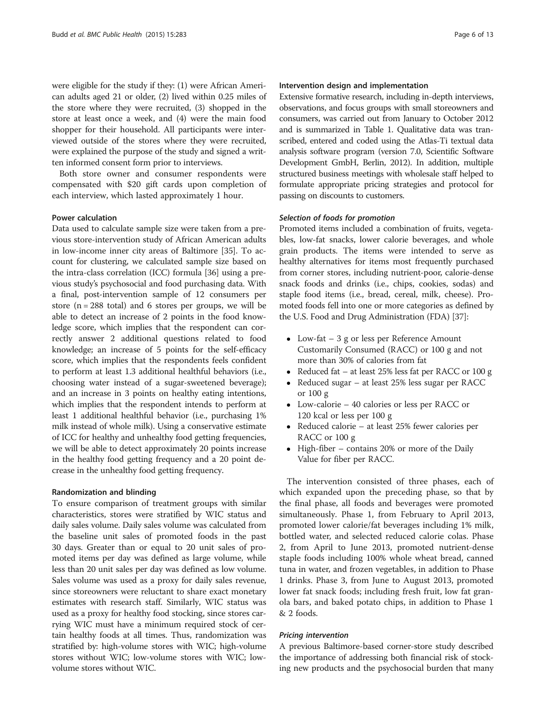were eligible for the study if they: (1) were African American adults aged 21 or older, (2) lived within 0.25 miles of the store where they were recruited, (3) shopped in the store at least once a week, and (4) were the main food shopper for their household. All participants were interviewed outside of the stores where they were recruited, were explained the purpose of the study and signed a written informed consent form prior to interviews.

Both store owner and consumer respondents were compensated with \$20 gift cards upon completion of each interview, which lasted approximately 1 hour.

#### Power calculation

Data used to calculate sample size were taken from a previous store-intervention study of African American adults in low-income inner city areas of Baltimore [\[35](#page-12-0)]. To account for clustering, we calculated sample size based on the intra-class correlation (ICC) formula [\[36\]](#page-12-0) using a previous study's psychosocial and food purchasing data. With a final, post-intervention sample of 12 consumers per store  $(n = 288$  total) and 6 stores per groups, we will be able to detect an increase of 2 points in the food knowledge score, which implies that the respondent can correctly answer 2 additional questions related to food knowledge; an increase of 5 points for the self-efficacy score, which implies that the respondents feels confident to perform at least 1.3 additional healthful behaviors (i.e., choosing water instead of a sugar-sweetened beverage); and an increase in 3 points on healthy eating intentions, which implies that the respondent intends to perform at least 1 additional healthful behavior (i.e., purchasing 1% milk instead of whole milk). Using a conservative estimate of ICC for healthy and unhealthy food getting frequencies, we will be able to detect approximately 20 points increase in the healthy food getting frequency and a 20 point decrease in the unhealthy food getting frequency.

#### Randomization and blinding

To ensure comparison of treatment groups with similar characteristics, stores were stratified by WIC status and daily sales volume. Daily sales volume was calculated from the baseline unit sales of promoted foods in the past 30 days. Greater than or equal to 20 unit sales of promoted items per day was defined as large volume, while less than 20 unit sales per day was defined as low volume. Sales volume was used as a proxy for daily sales revenue, since storeowners were reluctant to share exact monetary estimates with research staff. Similarly, WIC status was used as a proxy for healthy food stocking, since stores carrying WIC must have a minimum required stock of certain healthy foods at all times. Thus, randomization was stratified by: high-volume stores with WIC; high-volume stores without WIC; low-volume stores with WIC; lowvolume stores without WIC.

#### Intervention design and implementation

Extensive formative research, including in-depth interviews, observations, and focus groups with small storeowners and consumers, was carried out from January to October 2012 and is summarized in Table [1](#page-6-0). Qualitative data was transcribed, entered and coded using the Atlas-Ti textual data analysis software program (version 7.0, Scientific Software Development GmbH, Berlin, 2012). In addition, multiple structured business meetings with wholesale staff helped to formulate appropriate pricing strategies and protocol for passing on discounts to customers.

#### Selection of foods for promotion

Promoted items included a combination of fruits, vegetables, low-fat snacks, lower calorie beverages, and whole grain products. The items were intended to serve as healthy alternatives for items most frequently purchased from corner stores, including nutrient-poor, calorie-dense snack foods and drinks (i.e., chips, cookies, sodas) and staple food items (i.e., bread, cereal, milk, cheese). Promoted foods fell into one or more categories as defined by the U.S. Food and Drug Administration (FDA) [\[37](#page-12-0)]:

- Low-fat 3 g or less per Reference Amount Customarily Consumed (RACC) or 100 g and not more than 30% of calories from fat
- Reduced fat at least 25% less fat per RACC or 100 g
- Reduced sugar at least 25% less sugar per RACC or 100 g
- Low-calorie 40 calories or less per RACC or 120 kcal or less per 100 g
- Reduced calorie at least 25% fewer calories per RACC or 100 g
- High-fiber contains 20% or more of the Daily Value for fiber per RACC.

The intervention consisted of three phases, each of which expanded upon the preceding phase, so that by the final phase, all foods and beverages were promoted simultaneously. Phase 1, from February to April 2013, promoted lower calorie/fat beverages including 1% milk, bottled water, and selected reduced calorie colas. Phase 2, from April to June 2013, promoted nutrient-dense staple foods including 100% whole wheat bread, canned tuna in water, and frozen vegetables, in addition to Phase 1 drinks. Phase 3, from June to August 2013, promoted lower fat snack foods; including fresh fruit, low fat granola bars, and baked potato chips, in addition to Phase 1 & 2 foods.

#### Pricing intervention

A previous Baltimore-based corner-store study described the importance of addressing both financial risk of stocking new products and the psychosocial burden that many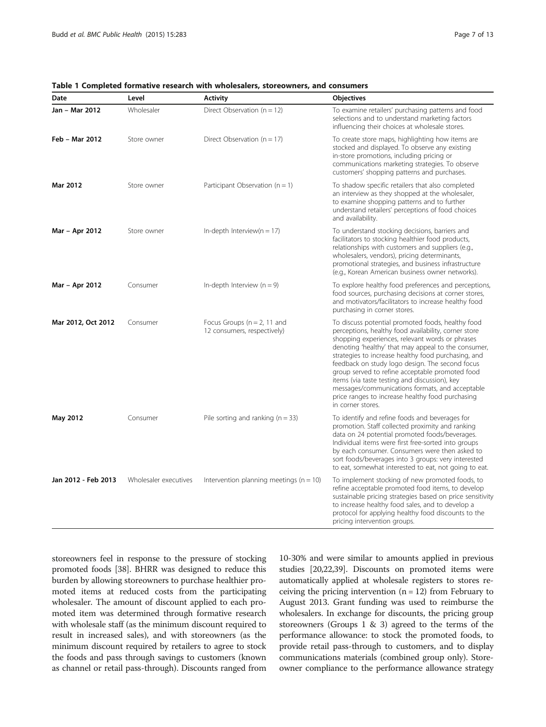| Date                | Level                 | <b>Activity</b>                                                | <b>Objectives</b>                                                                                                                                                                                                                                                                                                                                                                                                                                                                                                                                             |  |
|---------------------|-----------------------|----------------------------------------------------------------|---------------------------------------------------------------------------------------------------------------------------------------------------------------------------------------------------------------------------------------------------------------------------------------------------------------------------------------------------------------------------------------------------------------------------------------------------------------------------------------------------------------------------------------------------------------|--|
| Jan - Mar 2012      | Wholesaler            | Direct Observation ( $n = 12$ )                                | To examine retailers' purchasing patterns and food<br>selections and to understand marketing factors<br>influencing their choices at wholesale stores.                                                                                                                                                                                                                                                                                                                                                                                                        |  |
| Feb - Mar 2012      | Store owner           | Direct Observation ( $n = 17$ )                                | To create store maps, highlighting how items are<br>stocked and displayed. To observe any existing<br>in-store promotions, including pricing or<br>communications marketing strategies. To observe<br>customers' shopping patterns and purchases.                                                                                                                                                                                                                                                                                                             |  |
| Mar 2012            | Store owner           | Participant Observation ( $n = 1$ )                            | To shadow specific retailers that also completed<br>an interview as they shopped at the wholesaler,<br>to examine shopping patterns and to further<br>understand retailers' perceptions of food choices<br>and availability.                                                                                                                                                                                                                                                                                                                                  |  |
| Mar - Apr 2012      | Store owner           | In-depth Interview( $n = 17$ )                                 | To understand stocking decisions, barriers and<br>facilitators to stocking healthier food products,<br>relationships with customers and suppliers (e.g.,<br>wholesalers, vendors), pricing determinants,<br>promotional strategies, and business infrastructure<br>(e.g., Korean American business owner networks).                                                                                                                                                                                                                                           |  |
| Mar - Apr 2012      | Consumer              | In-depth Interview ( $n = 9$ )                                 | To explore healthy food preferences and perceptions,<br>food sources, purchasing decisions at corner stores,<br>and motivators/facilitators to increase healthy food<br>purchasing in corner stores.                                                                                                                                                                                                                                                                                                                                                          |  |
| Mar 2012, Oct 2012  | Consumer              | Focus Groups ( $n = 2$ , 11 and<br>12 consumers, respectively) | To discuss potential promoted foods, healthy food<br>perceptions, healthy food availability, corner store<br>shopping experiences, relevant words or phrases<br>denoting 'healthy' that may appeal to the consumer,<br>strategies to increase healthy food purchasing, and<br>feedback on study logo design. The second focus<br>group served to refine acceptable promoted food<br>items (via taste testing and discussion), key<br>messages/communications formats, and acceptable<br>price ranges to increase healthy food purchasing<br>in corner stores. |  |
| May 2012            | Consumer              | Pile sorting and ranking $(n = 33)$                            | To identify and refine foods and beverages for<br>promotion. Staff collected proximity and ranking<br>data on 24 potential promoted foods/beverages.<br>Individual items were first free-sorted into groups<br>by each consumer. Consumers were then asked to<br>sort foods/beverages into 3 groups: very interested<br>to eat, somewhat interested to eat, not going to eat.                                                                                                                                                                                 |  |
| Jan 2012 - Feb 2013 | Wholesaler executives | Intervention planning meetings ( $n = 10$ )                    | To implement stocking of new promoted foods, to<br>refine acceptable promoted food items, to develop<br>sustainable pricing strategies based on price sensitivity<br>to increase healthy food sales, and to develop a<br>protocol for applying healthy food discounts to the<br>pricina intervention aroups.                                                                                                                                                                                                                                                  |  |

<span id="page-6-0"></span>Table 1 Completed formative research with wholesalers, storeowners, and consumers

storeowners feel in response to the pressure of stocking promoted foods [\[38](#page-12-0)]. BHRR was designed to reduce this burden by allowing storeowners to purchase healthier promoted items at reduced costs from the participating wholesaler. The amount of discount applied to each promoted item was determined through formative research with wholesale staff (as the minimum discount required to result in increased sales), and with storeowners (as the minimum discount required by retailers to agree to stock the foods and pass through savings to customers (known as channel or retail pass-through). Discounts ranged from

10-30% and were similar to amounts applied in previous studies [\[20,22](#page-12-0),[39](#page-12-0)]. Discounts on promoted items were automatically applied at wholesale registers to stores receiving the pricing intervention  $(n = 12)$  from February to August 2013. Grant funding was used to reimburse the wholesalers. In exchange for discounts, the pricing group storeowners (Groups 1 & 3) agreed to the terms of the performance allowance: to stock the promoted foods, to provide retail pass-through to customers, and to display communications materials (combined group only). Storeowner compliance to the performance allowance strategy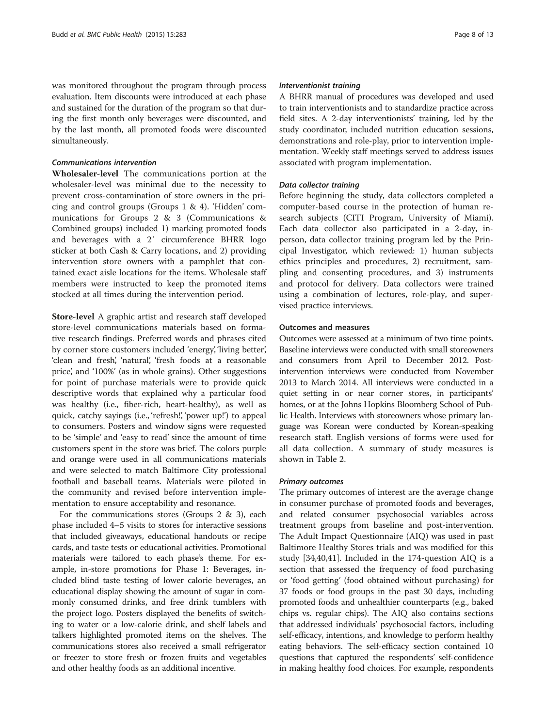was monitored throughout the program through process evaluation. Item discounts were introduced at each phase and sustained for the duration of the program so that during the first month only beverages were discounted, and by the last month, all promoted foods were discounted simultaneously.

#### Communications intervention

Wholesaler-level The communications portion at the wholesaler-level was minimal due to the necessity to prevent cross-contamination of store owners in the pricing and control groups (Groups 1 & 4). 'Hidden' communications for Groups 2 & 3 (Communications & Combined groups) included 1) marking promoted foods and beverages with a 2′ circumference BHRR logo sticker at both Cash & Carry locations, and 2) providing intervention store owners with a pamphlet that contained exact aisle locations for the items. Wholesale staff members were instructed to keep the promoted items stocked at all times during the intervention period.

Store-level A graphic artist and research staff developed store-level communications materials based on formative research findings. Preferred words and phrases cited by corner store customers included 'energy', 'living better', 'clean and fresh', 'natural', 'fresh foods at a reasonable price', and '100%' (as in whole grains). Other suggestions for point of purchase materials were to provide quick descriptive words that explained why a particular food was healthy (i.e., fiber-rich, heart-healthy), as well as quick, catchy sayings (i.e., 'refresh!', 'power up!') to appeal to consumers. Posters and window signs were requested to be 'simple' and 'easy to read' since the amount of time customers spent in the store was brief. The colors purple and orange were used in all communications materials and were selected to match Baltimore City professional football and baseball teams. Materials were piloted in the community and revised before intervention implementation to ensure acceptability and resonance.

For the communications stores (Groups 2 & 3), each phase included 4–5 visits to stores for interactive sessions that included giveaways, educational handouts or recipe cards, and taste tests or educational activities. Promotional materials were tailored to each phase's theme. For example, in-store promotions for Phase 1: Beverages, included blind taste testing of lower calorie beverages, an educational display showing the amount of sugar in commonly consumed drinks, and free drink tumblers with the project logo. Posters displayed the benefits of switching to water or a low-calorie drink, and shelf labels and talkers highlighted promoted items on the shelves. The communications stores also received a small refrigerator or freezer to store fresh or frozen fruits and vegetables and other healthy foods as an additional incentive.

#### Interventionist training

A BHRR manual of procedures was developed and used to train interventionists and to standardize practice across field sites. A 2-day interventionists' training, led by the study coordinator, included nutrition education sessions, demonstrations and role-play, prior to intervention implementation. Weekly staff meetings served to address issues associated with program implementation.

#### Data collector training

Before beginning the study, data collectors completed a computer-based course in the protection of human research subjects (CITI Program, University of Miami). Each data collector also participated in a 2-day, inperson, data collector training program led by the Principal Investigator, which reviewed: 1) human subjects ethics principles and procedures, 2) recruitment, sampling and consenting procedures, and 3) instruments and protocol for delivery. Data collectors were trained using a combination of lectures, role-play, and supervised practice interviews.

#### Outcomes and measures

Outcomes were assessed at a minimum of two time points. Baseline interviews were conducted with small storeowners and consumers from April to December 2012. Postintervention interviews were conducted from November 2013 to March 2014. All interviews were conducted in a quiet setting in or near corner stores, in participants' homes, or at the Johns Hopkins Bloomberg School of Public Health. Interviews with storeowners whose primary language was Korean were conducted by Korean-speaking research staff. English versions of forms were used for all data collection. A summary of study measures is shown in Table [2](#page-8-0).

#### Primary outcomes

The primary outcomes of interest are the average change in consumer purchase of promoted foods and beverages, and related consumer psychosocial variables across treatment groups from baseline and post-intervention. The Adult Impact Questionnaire (AIQ) was used in past Baltimore Healthy Stores trials and was modified for this study [[34,40](#page-12-0),[41](#page-12-0)]. Included in the 174-question AIQ is a section that assessed the frequency of food purchasing or 'food getting' (food obtained without purchasing) for 37 foods or food groups in the past 30 days, including promoted foods and unhealthier counterparts (e.g., baked chips vs. regular chips). The AIQ also contains sections that addressed individuals' psychosocial factors, including self-efficacy, intentions, and knowledge to perform healthy eating behaviors. The self-efficacy section contained 10 questions that captured the respondents' self-confidence in making healthy food choices. For example, respondents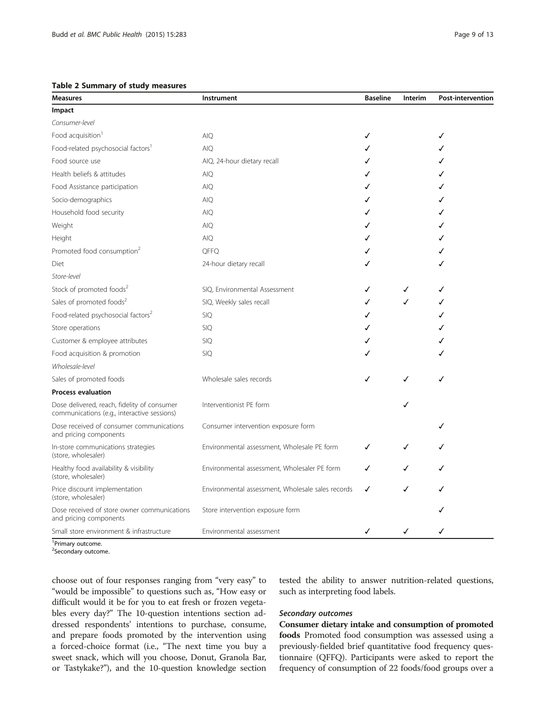#### <span id="page-8-0"></span>Table 2 Summary of study measures

| <b>Measures</b>                                                                            | Instrument                                        | <b>Baseline</b> | <b>Interim</b> | <b>Post-intervention</b> |
|--------------------------------------------------------------------------------------------|---------------------------------------------------|-----------------|----------------|--------------------------|
| Impact                                                                                     |                                                   |                 |                |                          |
| Consumer-level                                                                             |                                                   |                 |                |                          |
| Food acquisition <sup>1</sup>                                                              | <b>AIQ</b>                                        | ✓               |                | ✓                        |
| Food-related psychosocial factors <sup>1</sup>                                             | <b>AIQ</b>                                        | ✓               |                | ✓                        |
| Food source use                                                                            | AIQ, 24-hour dietary recall                       | ✓               |                | ✓                        |
| Health beliefs & attitudes                                                                 | <b>AIQ</b>                                        | ✓               |                | ∕                        |
| Food Assistance participation                                                              | <b>AIQ</b>                                        | ✓               |                | ∕                        |
| Socio-demographics                                                                         | <b>AIQ</b>                                        | ✓               |                |                          |
| Household food security                                                                    | <b>AIO</b>                                        | ✓               |                | ╱                        |
| Weight                                                                                     | <b>AIO</b>                                        | ℐ               |                |                          |
| Height                                                                                     | <b>AIO</b>                                        | ✓               |                |                          |
| Promoted food consumption <sup>2</sup>                                                     | QFFQ                                              | ✓               |                | ℳ                        |
| Diet                                                                                       | 24-hour dietary recall                            | ✓               |                |                          |
| Store-level                                                                                |                                                   |                 |                |                          |
| Stock of promoted foods <sup>2</sup>                                                       | SIQ, Environmental Assessment                     | ✓               | ✓              | ✓                        |
| Sales of promoted foods <sup>2</sup>                                                       | SIQ, Weekly sales recall                          | ✓               | ✓              | ℐ                        |
| Food-related psychosocial factors <sup>2</sup>                                             | <b>SIQ</b>                                        | ℐ               |                | ℐ                        |
| Store operations                                                                           | <b>SIQ</b>                                        | ✓               |                |                          |
| Customer & employee attributes                                                             | <b>SIQ</b>                                        | ✓               |                |                          |
| Food acquisition & promotion                                                               | <b>SIQ</b>                                        | ✓               |                |                          |
| Wholesale-level                                                                            |                                                   |                 |                |                          |
| Sales of promoted foods                                                                    | Wholesale sales records                           | ✓               | ر              | ر                        |
| <b>Process evaluation</b>                                                                  |                                                   |                 |                |                          |
| Dose delivered, reach, fidelity of consumer<br>communications (e.g., interactive sessions) | Interventionist PE form                           |                 |                |                          |
| Dose received of consumer communications<br>and pricing components                         | Consumer intervention exposure form               |                 |                | ℐ                        |
| In-store communications strategies<br>(store, wholesaler)                                  | Environmental assessment, Wholesale PE form       | ✓               | ✓              | ℐ                        |
| Healthy food availability & visibility<br>(store, wholesaler)                              | Environmental assessment, Wholesaler PE form      | ✓               | ✓              | ✓                        |
| Price discount implementation<br>(store, wholesaler)                                       | Environmental assessment, Wholesale sales records | ✓               | ℐ              | J                        |
| Dose received of store owner communications<br>and pricing components                      | Store intervention exposure form                  |                 |                |                          |
| Small store environment & infrastructure                                                   | Environmental assessment                          | ✓               | ✓              | $\checkmark$             |

<sup>1</sup>Primary outcome.

<sup>2</sup>Secondary outcome.

choose out of four responses ranging from "very easy" to "would be impossible" to questions such as, "How easy or difficult would it be for you to eat fresh or frozen vegetables every day?" The 10-question intentions section addressed respondents' intentions to purchase, consume, and prepare foods promoted by the intervention using a forced-choice format (i.e., "The next time you buy a sweet snack, which will you choose, Donut, Granola Bar, or Tastykake?"), and the 10-question knowledge section tested the ability to answer nutrition-related questions, such as interpreting food labels.

## Secondary outcomes

Consumer dietary intake and consumption of promoted foods Promoted food consumption was assessed using a previously-fielded brief quantitative food frequency questionnaire (QFFQ). Participants were asked to report the frequency of consumption of 22 foods/food groups over a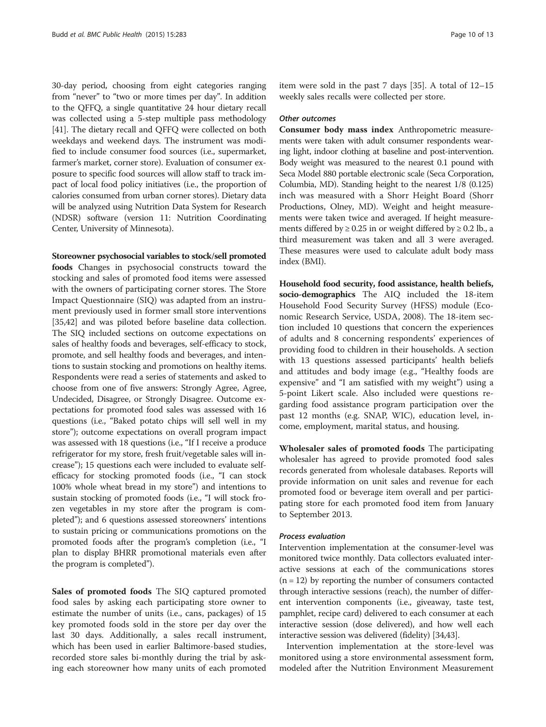30-day period, choosing from eight categories ranging from "never" to "two or more times per day". In addition to the QFFQ, a single quantitative 24 hour dietary recall was collected using a 5-step multiple pass methodology [[41](#page-12-0)]. The dietary recall and QFFQ were collected on both weekdays and weekend days. The instrument was modified to include consumer food sources (i.e., supermarket, farmer's market, corner store). Evaluation of consumer exposure to specific food sources will allow staff to track impact of local food policy initiatives (i.e., the proportion of calories consumed from urban corner stores). Dietary data will be analyzed using Nutrition Data System for Research (NDSR) software (version 11: Nutrition Coordinating Center, University of Minnesota).

#### Storeowner psychosocial variables to stock/sell promoted

foods Changes in psychosocial constructs toward the stocking and sales of promoted food items were assessed with the owners of participating corner stores. The Store Impact Questionnaire (SIQ) was adapted from an instrument previously used in former small store interventions [[35,42\]](#page-12-0) and was piloted before baseline data collection. The SIQ included sections on outcome expectations on sales of healthy foods and beverages, self-efficacy to stock, promote, and sell healthy foods and beverages, and intentions to sustain stocking and promotions on healthy items. Respondents were read a series of statements and asked to choose from one of five answers: Strongly Agree, Agree, Undecided, Disagree, or Strongly Disagree. Outcome expectations for promoted food sales was assessed with 16 questions (i.e., "Baked potato chips will sell well in my store"); outcome expectations on overall program impact was assessed with 18 questions (i.e., "If I receive a produce refrigerator for my store, fresh fruit/vegetable sales will increase"); 15 questions each were included to evaluate selfefficacy for stocking promoted foods (i.e., "I can stock 100% whole wheat bread in my store") and intentions to sustain stocking of promoted foods (i.e., "I will stock frozen vegetables in my store after the program is completed"); and 6 questions assessed storeowners' intentions to sustain pricing or communications promotions on the promoted foods after the program's completion (i.e., "I plan to display BHRR promotional materials even after the program is completed").

Sales of promoted foods The SIQ captured promoted food sales by asking each participating store owner to estimate the number of units (i.e., cans, packages) of 15 key promoted foods sold in the store per day over the last 30 days. Additionally, a sales recall instrument, which has been used in earlier Baltimore-based studies, recorded store sales bi-monthly during the trial by asking each storeowner how many units of each promoted item were sold in the past 7 days [\[35](#page-12-0)]. A total of 12–15 weekly sales recalls were collected per store.

#### Other outcomes

Consumer body mass index Anthropometric measurements were taken with adult consumer respondents wearing light, indoor clothing at baseline and post-intervention. Body weight was measured to the nearest 0.1 pound with Seca Model 880 portable electronic scale (Seca Corporation, Columbia, MD). Standing height to the nearest 1/8 (0.125) inch was measured with a Shorr Height Board (Shorr Productions, Olney, MD). Weight and height measurements were taken twice and averaged. If height measurements differed by  $\geq 0.25$  in or weight differed by  $\geq 0.2$  lb., a third measurement was taken and all 3 were averaged. These measures were used to calculate adult body mass index (BMI).

Household food security, food assistance, health beliefs, socio-demographics The AIQ included the 18-item Household Food Security Survey (HFSS) module (Economic Research Service, USDA, 2008). The 18-item section included 10 questions that concern the experiences of adults and 8 concerning respondents' experiences of providing food to children in their households. A section with 13 questions assessed participants' health beliefs and attitudes and body image (e.g., "Healthy foods are expensive" and "I am satisfied with my weight") using a 5-point Likert scale. Also included were questions regarding food assistance program participation over the past 12 months (e.g. SNAP, WIC), education level, income, employment, marital status, and housing.

Wholesaler sales of promoted foods The participating wholesaler has agreed to provide promoted food sales records generated from wholesale databases. Reports will provide information on unit sales and revenue for each promoted food or beverage item overall and per participating store for each promoted food item from January to September 2013.

#### Process evaluation

Intervention implementation at the consumer-level was monitored twice monthly. Data collectors evaluated interactive sessions at each of the communications stores  $(n = 12)$  by reporting the number of consumers contacted through interactive sessions (reach), the number of different intervention components (i.e., giveaway, taste test, pamphlet, recipe card) delivered to each consumer at each interactive session (dose delivered), and how well each interactive session was delivered (fidelity) [\[34,43](#page-12-0)].

Intervention implementation at the store-level was monitored using a store environmental assessment form, modeled after the Nutrition Environment Measurement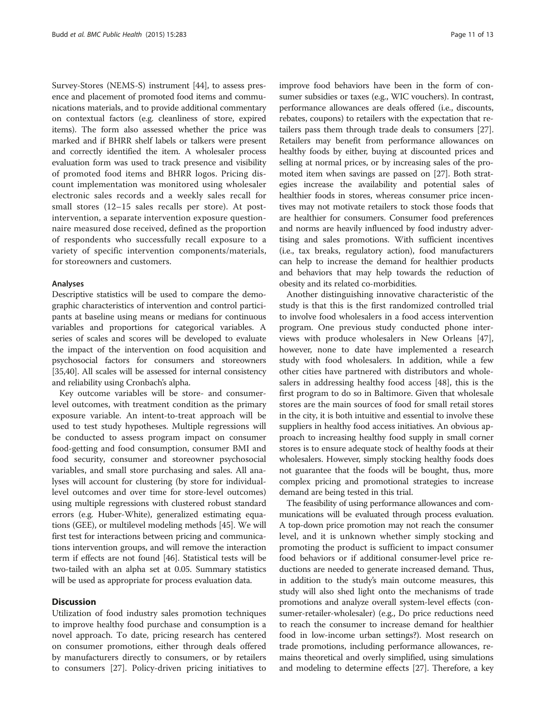Survey-Stores (NEMS-S) instrument [\[44\]](#page-12-0), to assess presence and placement of promoted food items and communications materials, and to provide additional commentary on contextual factors (e.g. cleanliness of store, expired items). The form also assessed whether the price was marked and if BHRR shelf labels or talkers were present and correctly identified the item. A wholesaler process evaluation form was used to track presence and visibility of promoted food items and BHRR logos. Pricing discount implementation was monitored using wholesaler electronic sales records and a weekly sales recall for small stores (12–15 sales recalls per store). At postintervention, a separate intervention exposure questionnaire measured dose received, defined as the proportion of respondents who successfully recall exposure to a variety of specific intervention components/materials, for storeowners and customers.

#### Analyses

Descriptive statistics will be used to compare the demographic characteristics of intervention and control participants at baseline using means or medians for continuous variables and proportions for categorical variables. A series of scales and scores will be developed to evaluate the impact of the intervention on food acquisition and psychosocial factors for consumers and storeowners [[35,40](#page-12-0)]. All scales will be assessed for internal consistency and reliability using Cronbach's alpha.

Key outcome variables will be store- and consumerlevel outcomes, with treatment condition as the primary exposure variable. An intent-to-treat approach will be used to test study hypotheses. Multiple regressions will be conducted to assess program impact on consumer food-getting and food consumption, consumer BMI and food security, consumer and storeowner psychosocial variables, and small store purchasing and sales. All analyses will account for clustering (by store for individuallevel outcomes and over time for store-level outcomes) using multiple regressions with clustered robust standard errors (e.g. Huber-White), generalized estimating equations (GEE), or multilevel modeling methods [\[45\]](#page-12-0). We will first test for interactions between pricing and communications intervention groups, and will remove the interaction term if effects are not found [\[46\]](#page-12-0). Statistical tests will be two-tailed with an alpha set at 0.05. Summary statistics will be used as appropriate for process evaluation data.

# **Discussion**

Utilization of food industry sales promotion techniques to improve healthy food purchase and consumption is a novel approach. To date, pricing research has centered on consumer promotions, either through deals offered by manufacturers directly to consumers, or by retailers to consumers [\[27](#page-12-0)]. Policy-driven pricing initiatives to

improve food behaviors have been in the form of consumer subsidies or taxes (e.g., WIC vouchers). In contrast, performance allowances are deals offered (i.e., discounts, rebates, coupons) to retailers with the expectation that retailers pass them through trade deals to consumers [[27](#page-12-0)]. Retailers may benefit from performance allowances on healthy foods by either, buying at discounted prices and selling at normal prices, or by increasing sales of the promoted item when savings are passed on [\[27\]](#page-12-0). Both strategies increase the availability and potential sales of healthier foods in stores, whereas consumer price incentives may not motivate retailers to stock those foods that are healthier for consumers. Consumer food preferences and norms are heavily influenced by food industry advertising and sales promotions. With sufficient incentives (i.e., tax breaks, regulatory action), food manufacturers can help to increase the demand for healthier products and behaviors that may help towards the reduction of obesity and its related co-morbidities.

Another distinguishing innovative characteristic of the study is that this is the first randomized controlled trial to involve food wholesalers in a food access intervention program. One previous study conducted phone interviews with produce wholesalers in New Orleans [\[47](#page-12-0)], however, none to date have implemented a research study with food wholesalers. In addition, while a few other cities have partnered with distributors and wholesalers in addressing healthy food access [[48\]](#page-12-0), this is the first program to do so in Baltimore. Given that wholesale stores are the main sources of food for small retail stores in the city, it is both intuitive and essential to involve these suppliers in healthy food access initiatives. An obvious approach to increasing healthy food supply in small corner stores is to ensure adequate stock of healthy foods at their wholesalers. However, simply stocking healthy foods does not guarantee that the foods will be bought, thus, more complex pricing and promotional strategies to increase demand are being tested in this trial.

The feasibility of using performance allowances and communications will be evaluated through process evaluation. A top-down price promotion may not reach the consumer level, and it is unknown whether simply stocking and promoting the product is sufficient to impact consumer food behaviors or if additional consumer-level price reductions are needed to generate increased demand. Thus, in addition to the study's main outcome measures, this study will also shed light onto the mechanisms of trade promotions and analyze overall system-level effects (consumer-retailer-wholesaler) (e.g., Do price reductions need to reach the consumer to increase demand for healthier food in low-income urban settings?). Most research on trade promotions, including performance allowances, remains theoretical and overly simplified, using simulations and modeling to determine effects [\[27\]](#page-12-0). Therefore, a key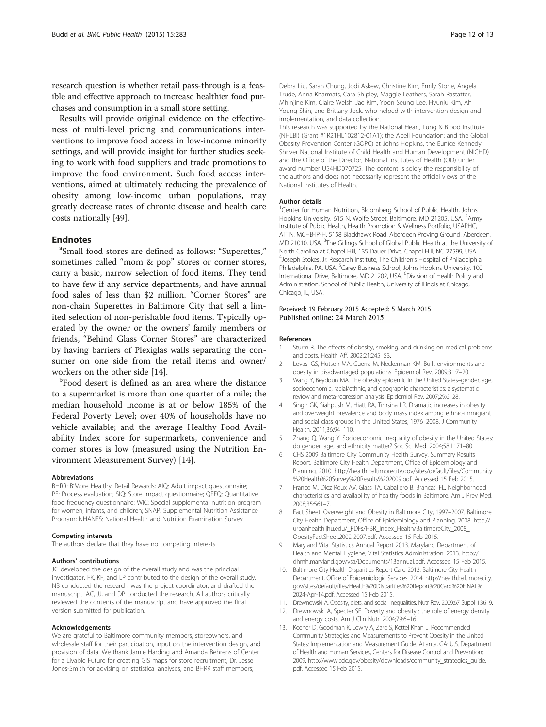<span id="page-11-0"></span>research question is whether retail pass-through is a feasible and effective approach to increase healthier food purchases and consumption in a small store setting.

Results will provide original evidence on the effectiveness of multi-level pricing and communications interventions to improve food access in low-income minority settings, and will provide insight for further studies seeking to work with food suppliers and trade promotions to improve the food environment. Such food access interventions, aimed at ultimately reducing the prevalence of obesity among low-income urban populations, may greatly decrease rates of chronic disease and health care costs nationally [\[49\]](#page-12-0).

#### **Endnotes**

Small food stores are defined as follows: "Superettes," sometimes called "mom & pop" stores or corner stores, carry a basic, narrow selection of food items. They tend to have few if any service departments, and have annual food sales of less than \$2 million. "Corner Stores" are non-chain Superettes in Baltimore City that sell a limited selection of non-perishable food items. Typically operated by the owner or the owners' family members or friends, "Behind Glass Corner Stores" are characterized by having barriers of Plexiglas walls separating the consumer on one side from the retail items and owner/ workers on the other side [\[14\]](#page-12-0).

<sup>b</sup>Food desert is defined as an area where the distance to a supermarket is more than one quarter of a mile; the median household income is at or below 185% of the Federal Poverty Level; over 40% of households have no vehicle available; and the average Healthy Food Availability Index score for supermarkets, convenience and corner stores is low (measured using the Nutrition Environment Measurement Survey) [\[14](#page-12-0)].

#### **Abbreviations**

BHRR: B'More Healthy: Retail Rewards; AIQ: Adult impact questionnaire; PE: Process evaluation; SIQ: Store impact questionnaire; QFFQ: Quantitative food frequency questionnaire; WIC: Special supplemental nutrition program for women, infants, and children; SNAP: Supplemental Nutrition Assistance Program; NHANES: National Health and Nutrition Examination Survey.

#### Competing interests

The authors declare that they have no competing interests.

#### Authors' contributions

JG developed the design of the overall study and was the principal investigator. FK, KF, and LP contributed to the design of the overall study. NB conducted the research, was the project coordinator, and drafted the manuscript. AC, JJ, and DP conducted the research. All authors critically reviewed the contents of the manuscript and have approved the final version submitted for publication.

#### Acknowledgements

We are grateful to Baltimore community members, storeowners, and wholesale staff for their participation, input on the intervention design, and provision of data. We thank Jamie Harding and Amanda Behrens of Center for a Livable Future for creating GIS maps for store recruitment, Dr. Jesse Jones-Smith for advising on statistical analyses, and BHRR staff members;

Debra Liu, Sarah Chung, Jodi Askew, Christine Kim, Emily Stone, Angela Trude, Anna Kharmats, Cara Shipley, Maggie Leathers, Sarah Rastatter, Mhinjine Kim, Claire Welsh, Jae Kim, Yoon Seung Lee, Hyunju Kim, Ah Young Shin, and Brittany Jock, who helped with intervention design and implementation, and data collection.

This research was supported by the National Heart, Lung & Blood Institute (NHLBI) (Grant #1R21HL102812-01A1); the Abell Foundation; and the Global Obesity Prevention Center (GOPC) at Johns Hopkins, the Eunice Kennedy Shriver National Institute of Child Health and Human Development (NICHD) and the Office of the Director, National Institutes of Health (OD) under award number U54HD070725. The content is solely the responsibility of the authors and does not necessarily represent the official views of the National Institutes of Health.

#### Author details

<sup>1</sup> Center for Human Nutrition, Bloomberg School of Public Health, Johns Hopkins University, 615 N. Wolfe Street, Baltimore, MD 21205, USA. <sup>2</sup>Army Institute of Public Health, Health Promotion & Wellness Portfolio, USAPHC, ATTN: MCHB-IP-H, 5158 Blackhawk Road, Aberdeen Proving Ground, Aberdeen, MD 21010, USA.<sup>3</sup>The Gillings School of Global Public Health at the University of North Carolina at Chapel Hill, 135 Dauer Drive, Chapel Hill, NC 27599, USA. 4 Joseph Stokes, Jr. Research Institute, The Children's Hospital of Philadelphia, Philadelphia, PA, USA. <sup>5</sup>Carey Business School, Johns Hopkins University, 100 International Drive, Baltimore, MD 21202, USA. <sup>6</sup>Division of Health Policy and Administration, School of Public Health, University of Illinois at Chicago, Chicago, IL, USA.

#### Received: 19 February 2015 Accepted: 5 March 2015 Published online: 24 March 2015

#### References

- 1. Sturm R. The effects of obesity, smoking, and drinking on medical problems and costs. Health Aff. 2002;21:245–53.
- 2. Lovasi GS, Hutson MA, Guerra M, Neckerman KM. Built environments and obesity in disadvantaged populations. Epidemiol Rev. 2009;31:7–20.
- 3. Wang Y, Beydoun MA. The obesity epidemic in the United States–gender, age, socioeconomic, racial/ethnic, and geographic characteristics: a systematic review and meta-regression analysis. Epidemiol Rev. 2007;29:6–28.
- 4. Singh GK, Siahpush M, Hiatt RA, Timsina LR. Dramatic increases in obesity and overweight prevalence and body mass index among ethnic-immigrant and social class groups in the United States, 1976–2008. J Community Health. 2011;36:94–110.
- 5. Zhang Q, Wang Y. Socioeconomic inequality of obesity in the United States: do gender, age, and ethnicity matter? Soc Sci Med. 2004;58:1171–80.
- 6. CHS 2009 Baltimore City Community Health Survey. Summary Results Report. Baltimore City Health Department, Office of Epidemiology and Planning. 2010. [http://health.baltimorecity.gov/sites/default/files/Community](http://health.baltimorecity.gov/sites/default/files/Community%20Health%20Survey%20Results%202009.pdf) [%20Health%20Survey%20Results%202009.pdf.](http://health.baltimorecity.gov/sites/default/files/Community%20Health%20Survey%20Results%202009.pdf) Accessed 15 Feb 2015.
- 7. Franco M, Diez Roux AV, Glass TA, Caballero B, Brancati FL. Neighborhood characteristics and availability of healthy foods in Baltimore. Am J Prev Med. 2008;35:561–7.
- 8. Fact Sheet. Overweight and Obesity in Baltimore City, 1997–2007. Baltimore City Health Department, Office of Epidemiology and Planning. 2008. [http://](http://urbanhealth.jhu.edu/_PDFs/HBR_Index_Health/BaltimoreCity_2008_ObesityFactSheet.2002-2007.pdf) [urbanhealth.jhu.edu/\\_PDFs/HBR\\_Index\\_Health/BaltimoreCity\\_2008\\_](http://urbanhealth.jhu.edu/_PDFs/HBR_Index_Health/BaltimoreCity_2008_ObesityFactSheet.2002-2007.pdf) [ObesityFactSheet.2002-2007.pdf](http://urbanhealth.jhu.edu/_PDFs/HBR_Index_Health/BaltimoreCity_2008_ObesityFactSheet.2002-2007.pdf). Accessed 15 Feb 2015.
- 9. Maryland Vital Statistics Annual Report 2013. Maryland Department of Health and Mental Hygiene, Vital Statistics Administration. 2013. [http://](http://dhmh.maryland.gov/vsa/Documents/13annual.pdf) [dhmh.maryland.gov/vsa/Documents/13annual.pdf.](http://dhmh.maryland.gov/vsa/Documents/13annual.pdf) Accessed 15 Feb 2015.
- 10. Baltimore City Health Disparities Report Card 2013. Baltimore City Health Department, Office of Epidemiologic Services. 2014. [http://health.baltimorecity.](http://health.baltimorecity.gov/sites/default/files/Health%20Disparities%20Report%20Card%20FINAL%2024-Apr-14.pdf) [gov/sites/default/files/Health%20Disparities%20Report%20Card%20FINAL%](http://health.baltimorecity.gov/sites/default/files/Health%20Disparities%20Report%20Card%20FINAL%2024-Apr-14.pdf) [2024-Apr-14.pdf.](http://health.baltimorecity.gov/sites/default/files/Health%20Disparities%20Report%20Card%20FINAL%2024-Apr-14.pdf) Accessed 15 Feb 2015.
- 11. Drewnowski A. Obesity, diets, and social inequalities. Nutr Rev. 2009;67 Suppl 1:36-9. 12. Drewnowski A, Specter SE. Poverty and obesity : the role of energy density
- and energy costs. Am J Clin Nutr. 2004;79:6–16. 13. Keener D, Goodman K, Lowry A, Zaro S, Kettel Khan L. Recommended
- Community Strategies and Measurements to Prevent Obesity in the United States: Implementation and Measurement Guide. Atlanta, GA: U.S. Department of Health and Human Services, Centers for Disease Control and Prevention; 2009. [http://www.cdc.gov/obesity/downloads/community\\_strategies\\_guide.](http://www.cdc.gov/obesity/downloads/community_strategies_guide.pdf) [pdf](http://www.cdc.gov/obesity/downloads/community_strategies_guide.pdf). Accessed 15 Feb 2015.